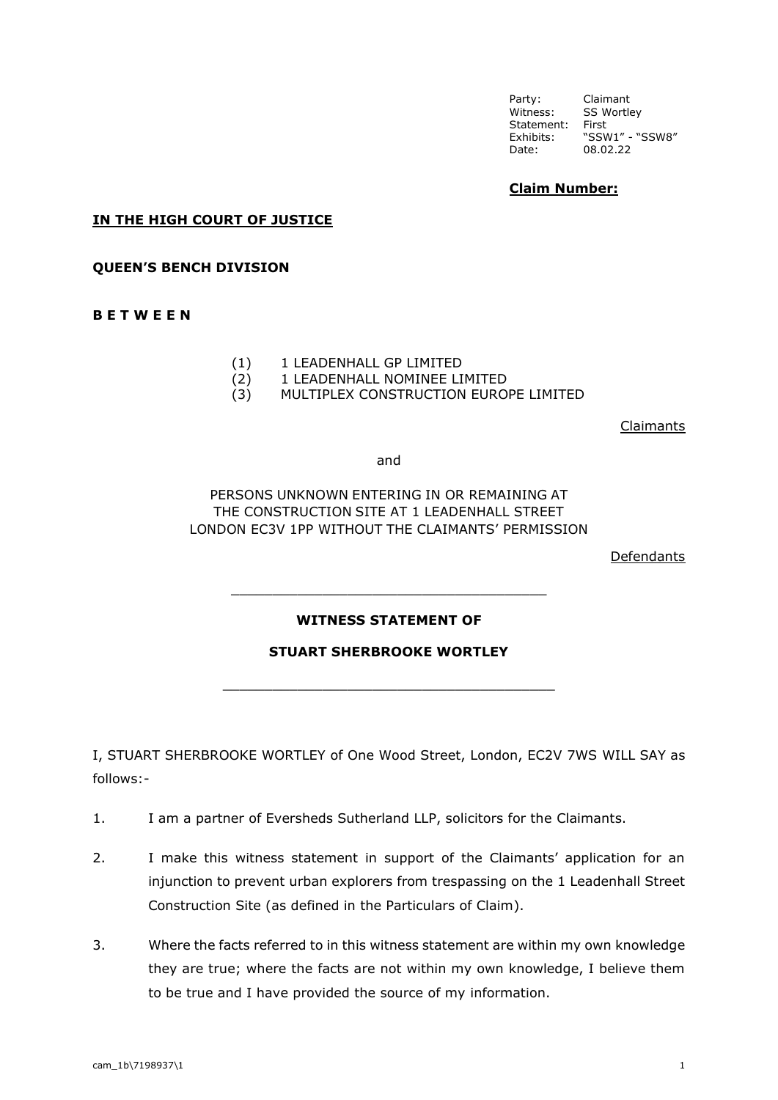# **Claim Number:**

#### **IN THE HIGH COURT OF JUSTICE**

#### **QUEEN'S BENCH DIVISION**

#### **B E T W E E N**

- (1) 1 LEADENHALL GP LIMITED
- (2) 1 LEADENHALL NOMINEE LIMITED
- (3) MULTIPLEX CONSTRUCTION EUROPE LIMITED

Claimants

and

## PERSONS UNKNOWN ENTERING IN OR REMAINING AT THE CONSTRUCTION SITE AT 1 LEADENHALL STREET LONDON EC3V 1PP WITHOUT THE CLAIMANTS' PERMISSION

Defendants

### **WITNESS STATEMENT OF**

\_\_\_\_\_\_\_\_\_\_\_\_\_\_\_\_\_\_\_\_\_\_\_\_\_\_\_\_\_\_\_\_\_\_\_\_\_\_

### **STUART SHERBROOKE WORTLEY**

\_\_\_\_\_\_\_\_\_\_\_\_\_\_\_\_\_\_\_\_\_\_\_\_\_\_\_\_\_\_\_\_\_\_\_\_\_\_\_\_

I, STUART SHERBROOKE WORTLEY of One Wood Street, London, EC2V 7WS WILL SAY as follows:-

- 1. I am a partner of Eversheds Sutherland LLP, solicitors for the Claimants.
- 2. I make this witness statement in support of the Claimants' application for an injunction to prevent urban explorers from trespassing on the 1 Leadenhall Street Construction Site (as defined in the Particulars of Claim).
- 3. Where the facts referred to in this witness statement are within my own knowledge they are true; where the facts are not within my own knowledge, I believe them to be true and I have provided the source of my information.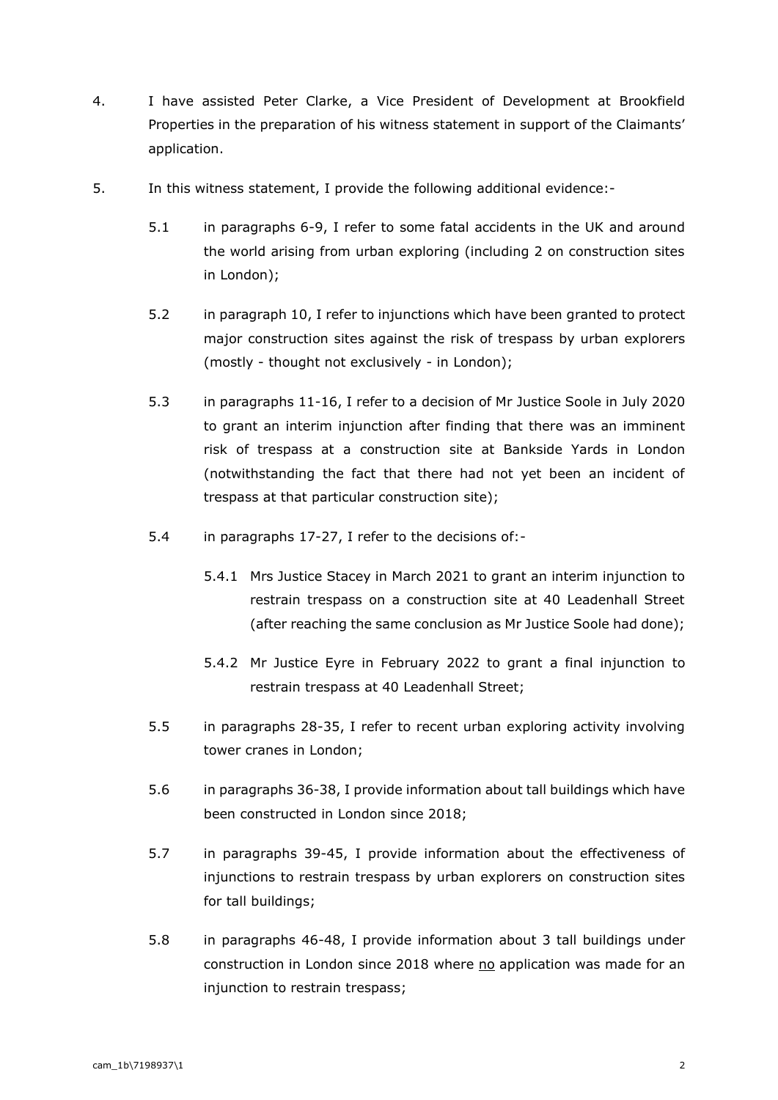- 4. I have assisted Peter Clarke, a Vice President of Development at Brookfield Properties in the preparation of his witness statement in support of the Claimants' application.
- 5. In this witness statement, I provide the following additional evidence:-
	- 5.1 in paragraphs 6-9, I refer to some fatal accidents in the UK and around the world arising from urban exploring (including 2 on construction sites in London);
	- 5.2 in paragraph 10, I refer to injunctions which have been granted to protect major construction sites against the risk of trespass by urban explorers (mostly - thought not exclusively - in London);
	- 5.3 in paragraphs 11-16, I refer to a decision of Mr Justice Soole in July 2020 to grant an interim injunction after finding that there was an imminent risk of trespass at a construction site at Bankside Yards in London (notwithstanding the fact that there had not yet been an incident of trespass at that particular construction site);
	- 5.4 in paragraphs 17-27, I refer to the decisions of:-
		- 5.4.1 Mrs Justice Stacey in March 2021 to grant an interim injunction to restrain trespass on a construction site at 40 Leadenhall Street (after reaching the same conclusion as Mr Justice Soole had done);
		- 5.4.2 Mr Justice Eyre in February 2022 to grant a final injunction to restrain trespass at 40 Leadenhall Street;
	- 5.5 in paragraphs 28-35, I refer to recent urban exploring activity involving tower cranes in London;
	- 5.6 in paragraphs 36-38, I provide information about tall buildings which have been constructed in London since 2018;
	- 5.7 in paragraphs 39-45, I provide information about the effectiveness of injunctions to restrain trespass by urban explorers on construction sites for tall buildings;
	- 5.8 in paragraphs 46-48, I provide information about 3 tall buildings under construction in London since 2018 where no application was made for an injunction to restrain trespass;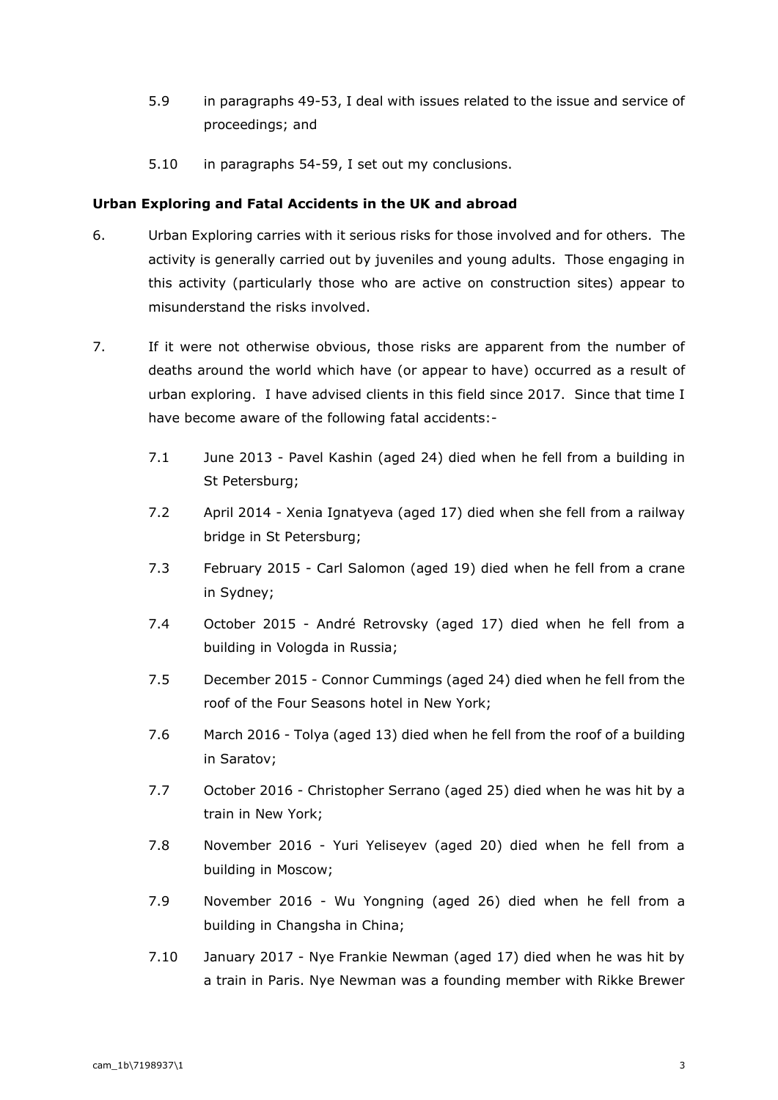- 5.9 in paragraphs 49-53, I deal with issues related to the issue and service of proceedings; and
- 5.10 in paragraphs 54-59, I set out my conclusions.

## **Urban Exploring and Fatal Accidents in the UK and abroad**

- 6. Urban Exploring carries with it serious risks for those involved and for others. The activity is generally carried out by juveniles and young adults. Those engaging in this activity (particularly those who are active on construction sites) appear to misunderstand the risks involved.
- 7. If it were not otherwise obvious, those risks are apparent from the number of deaths around the world which have (or appear to have) occurred as a result of urban exploring. I have advised clients in this field since 2017. Since that time I have become aware of the following fatal accidents:-
	- 7.1 June 2013 Pavel Kashin (aged 24) died when he fell from a building in St Petersburg;
	- 7.2 April 2014 Xenia Ignatyeva (aged 17) died when she fell from a railway bridge in St Petersburg;
	- 7.3 February 2015 Carl Salomon (aged 19) died when he fell from a crane in Sydney;
	- 7.4 October 2015 André Retrovsky (aged 17) died when he fell from a building in Vologda in Russia;
	- 7.5 December 2015 Connor Cummings (aged 24) died when he fell from the roof of the Four Seasons hotel in New York;
	- 7.6 March 2016 Tolya (aged 13) died when he fell from the roof of a building in Saratov;
	- 7.7 October 2016 Christopher Serrano (aged 25) died when he was hit by a train in New York;
	- 7.8 November 2016 Yuri Yeliseyev (aged 20) died when he fell from a building in Moscow;
	- 7.9 November 2016 Wu Yongning (aged 26) died when he fell from a building in Changsha in China;
	- 7.10 January 2017 Nye Frankie Newman (aged 17) died when he was hit by a train in Paris. Nye Newman was a founding member with Rikke Brewer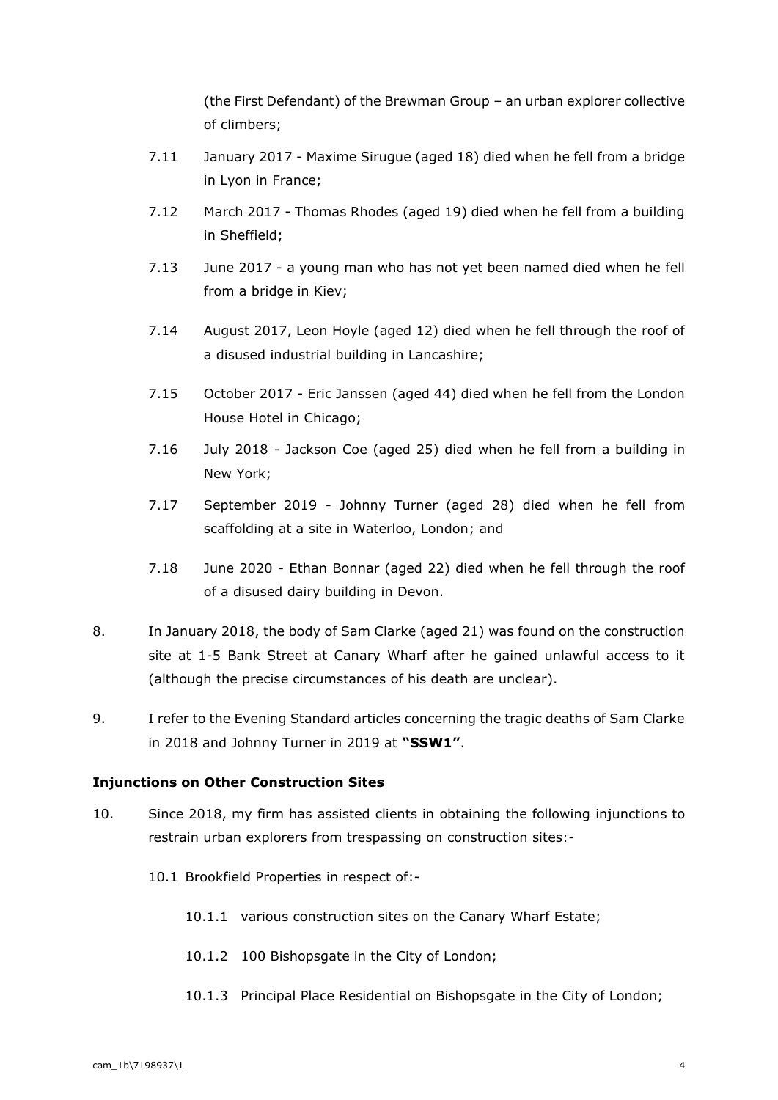(the First Defendant) of the Brewman Group – an urban explorer collective of climbers;

- 7.11 January 2017 Maxime Sirugue (aged 18) died when he fell from a bridge in Lyon in France;
- 7.12 March 2017 Thomas Rhodes (aged 19) died when he fell from a building in Sheffield;
- 7.13 June 2017 a young man who has not yet been named died when he fell from a bridge in Kiev;
- 7.14 August 2017, Leon Hoyle (aged 12) died when he fell through the roof of a disused industrial building in Lancashire;
- 7.15 October 2017 Eric Janssen (aged 44) died when he fell from the London House Hotel in Chicago;
- 7.16 July 2018 Jackson Coe (aged 25) died when he fell from a building in New York;
- 7.17 September 2019 Johnny Turner (aged 28) died when he fell from scaffolding at a site in Waterloo, London; and
- 7.18 June 2020 Ethan Bonnar (aged 22) died when he fell through the roof of a disused dairy building in Devon.
- 8. In January 2018, the body of Sam Clarke (aged 21) was found on the construction site at 1-5 Bank Street at Canary Wharf after he gained unlawful access to it (although the precise circumstances of his death are unclear).
- 9. I refer to the Evening Standard articles concerning the tragic deaths of Sam Clarke in 2018 and Johnny Turner in 2019 at **"SSW1"**.

## **Injunctions on Other Construction Sites**

- 10. Since 2018, my firm has assisted clients in obtaining the following injunctions to restrain urban explorers from trespassing on construction sites:-
	- 10.1 Brookfield Properties in respect of:-
		- 10.1.1 various construction sites on the Canary Wharf Estate;
		- 10.1.2 100 Bishopsgate in the City of London;
		- 10.1.3 Principal Place Residential on Bishopsgate in the City of London;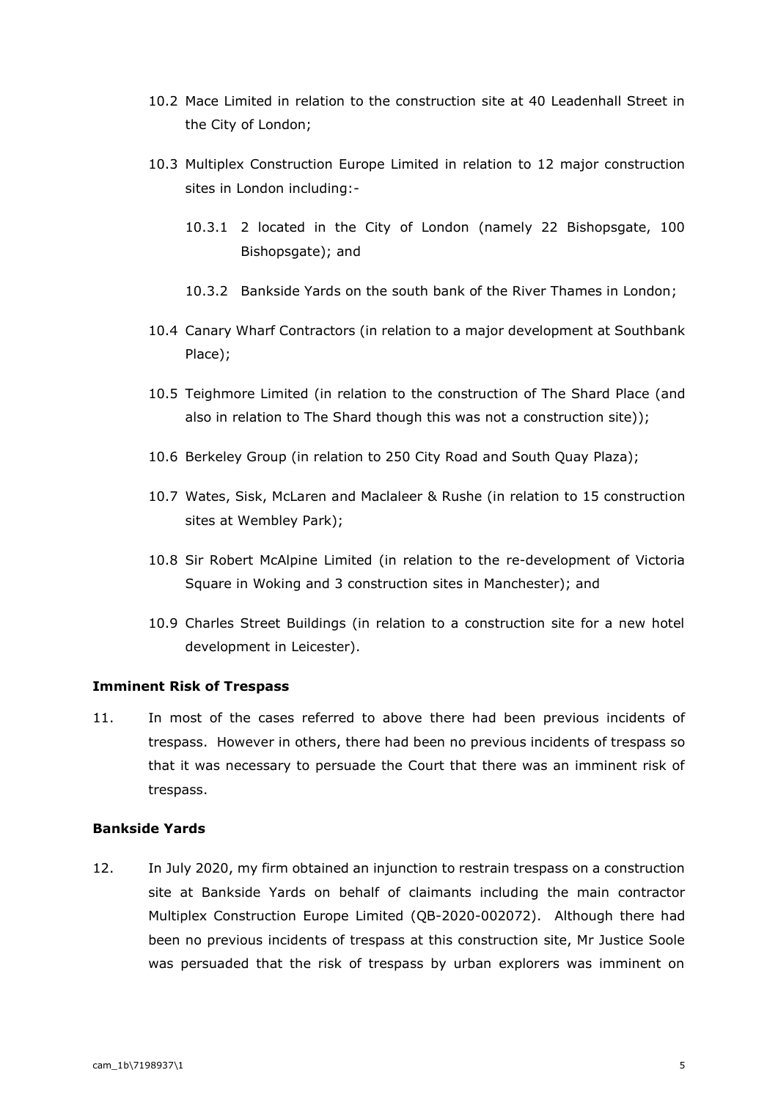- 10.2 Mace Limited in relation to the construction site at 40 Leadenhall Street in the City of London;
- 10.3 Multiplex Construction Europe Limited in relation to 12 major construction sites in London including:-
	- 10.3.1 2 located in the City of London (namely 22 Bishopsgate, 100 Bishopsgate); and
	- 10.3.2 Bankside Yards on the south bank of the River Thames in London;
- 10.4 Canary Wharf Contractors (in relation to a major development at Southbank Place);
- 10.5 Teighmore Limited (in relation to the construction of The Shard Place (and also in relation to The Shard though this was not a construction site));
- 10.6 Berkeley Group (in relation to 250 City Road and South Quay Plaza);
- 10.7 Wates, Sisk, McLaren and Maclaleer & Rushe (in relation to 15 construction sites at Wembley Park);
- 10.8 Sir Robert McAlpine Limited (in relation to the re-development of Victoria Square in Woking and 3 construction sites in Manchester); and
- 10.9 Charles Street Buildings (in relation to a construction site for a new hotel development in Leicester).

### **Imminent Risk of Trespass**

11. In most of the cases referred to above there had been previous incidents of trespass. However in others, there had been no previous incidents of trespass so that it was necessary to persuade the Court that there was an imminent risk of trespass.

### **Bankside Yards**

12. In July 2020, my firm obtained an injunction to restrain trespass on a construction site at Bankside Yards on behalf of claimants including the main contractor Multiplex Construction Europe Limited (QB-2020-002072). Although there had been no previous incidents of trespass at this construction site, Mr Justice Soole was persuaded that the risk of trespass by urban explorers was imminent on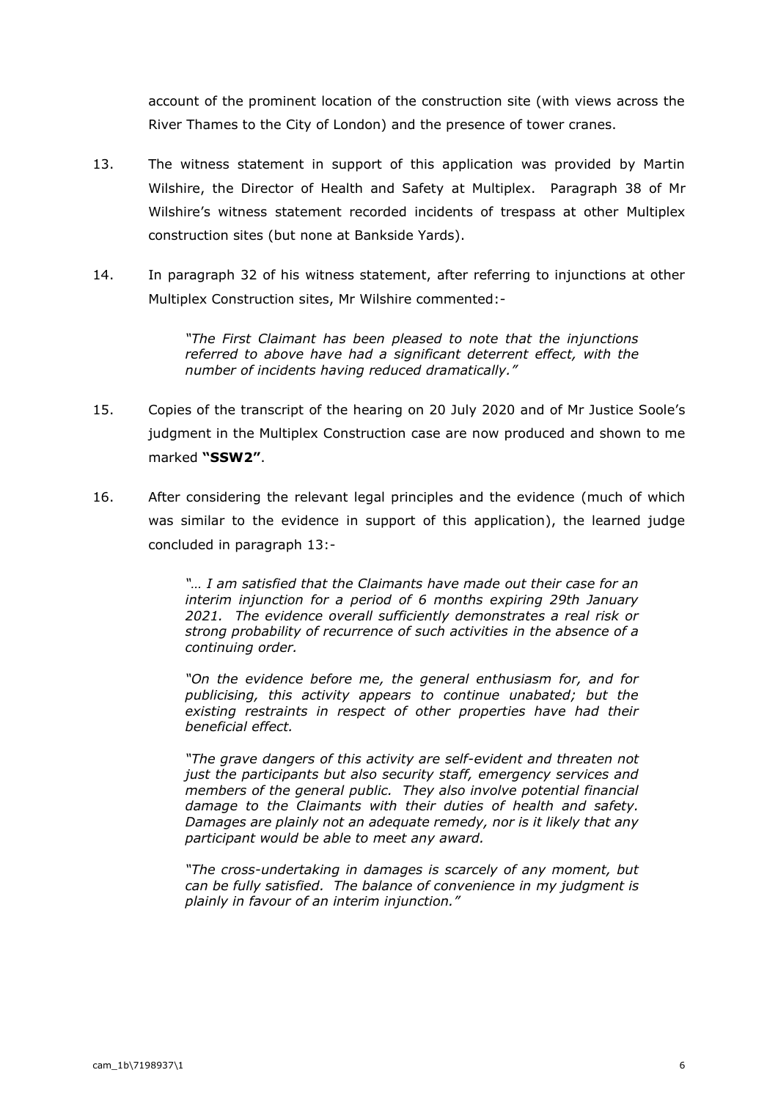account of the prominent location of the construction site (with views across the River Thames to the City of London) and the presence of tower cranes.

- 13. The witness statement in support of this application was provided by Martin Wilshire, the Director of Health and Safety at Multiplex. Paragraph 38 of Mr Wilshire's witness statement recorded incidents of trespass at other Multiplex construction sites (but none at Bankside Yards).
- 14. In paragraph 32 of his witness statement, after referring to injunctions at other Multiplex Construction sites, Mr Wilshire commented:-

*"The First Claimant has been pleased to note that the injunctions referred to above have had a significant deterrent effect, with the number of incidents having reduced dramatically."*

- 15. Copies of the transcript of the hearing on 20 July 2020 and of Mr Justice Soole's judgment in the Multiplex Construction case are now produced and shown to me marked **"SSW2"**.
- 16. After considering the relevant legal principles and the evidence (much of which was similar to the evidence in support of this application), the learned judge concluded in paragraph 13:-

*"… I am satisfied that the Claimants have made out their case for an interim injunction for a period of 6 months expiring 29th January 2021. The evidence overall sufficiently demonstrates a real risk or strong probability of recurrence of such activities in the absence of a continuing order.* 

*"On the evidence before me, the general enthusiasm for, and for publicising, this activity appears to continue unabated; but the existing restraints in respect of other properties have had their beneficial effect.* 

*"The grave dangers of this activity are self-evident and threaten not just the participants but also security staff, emergency services and members of the general public. They also involve potential financial damage to the Claimants with their duties of health and safety. Damages are plainly not an adequate remedy, nor is it likely that any participant would be able to meet any award.* 

*"The cross-undertaking in damages is scarcely of any moment, but can be fully satisfied. The balance of convenience in my judgment is plainly in favour of an interim injunction."*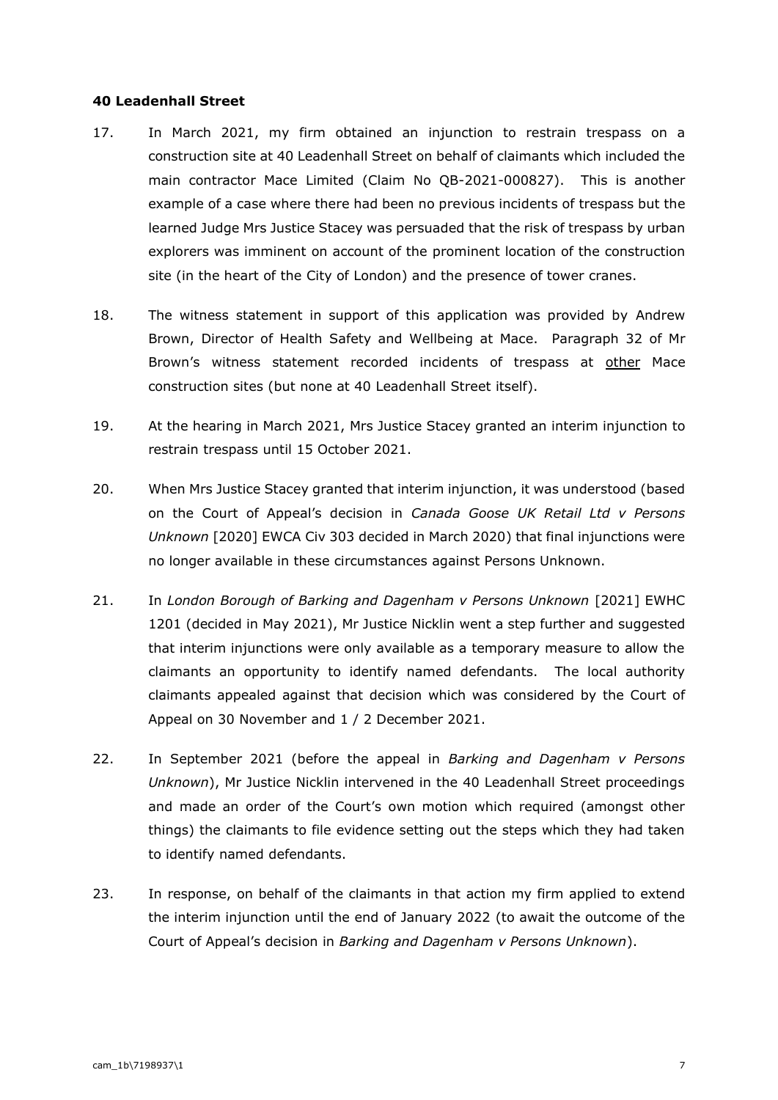#### **40 Leadenhall Street**

- 17. In March 2021, my firm obtained an injunction to restrain trespass on a construction site at 40 Leadenhall Street on behalf of claimants which included the main contractor Mace Limited (Claim No QB-2021-000827). This is another example of a case where there had been no previous incidents of trespass but the learned Judge Mrs Justice Stacey was persuaded that the risk of trespass by urban explorers was imminent on account of the prominent location of the construction site (in the heart of the City of London) and the presence of tower cranes.
- 18. The witness statement in support of this application was provided by Andrew Brown, Director of Health Safety and Wellbeing at Mace. Paragraph 32 of Mr Brown's witness statement recorded incidents of trespass at other Mace construction sites (but none at 40 Leadenhall Street itself).
- 19. At the hearing in March 2021, Mrs Justice Stacey granted an interim injunction to restrain trespass until 15 October 2021.
- 20. When Mrs Justice Stacey granted that interim injunction, it was understood (based on the Court of Appeal's decision in *Canada Goose UK Retail Ltd v Persons Unknown* [2020] EWCA Civ 303 decided in March 2020) that final injunctions were no longer available in these circumstances against Persons Unknown.
- 21. In *London Borough of Barking and Dagenham v Persons Unknown* [2021] EWHC 1201 (decided in May 2021), Mr Justice Nicklin went a step further and suggested that interim injunctions were only available as a temporary measure to allow the claimants an opportunity to identify named defendants. The local authority claimants appealed against that decision which was considered by the Court of Appeal on 30 November and 1 / 2 December 2021.
- 22. In September 2021 (before the appeal in *Barking and Dagenham v Persons Unknown*), Mr Justice Nicklin intervened in the 40 Leadenhall Street proceedings and made an order of the Court's own motion which required (amongst other things) the claimants to file evidence setting out the steps which they had taken to identify named defendants.
- 23. In response, on behalf of the claimants in that action my firm applied to extend the interim injunction until the end of January 2022 (to await the outcome of the Court of Appeal's decision in *Barking and Dagenham v Persons Unknown*).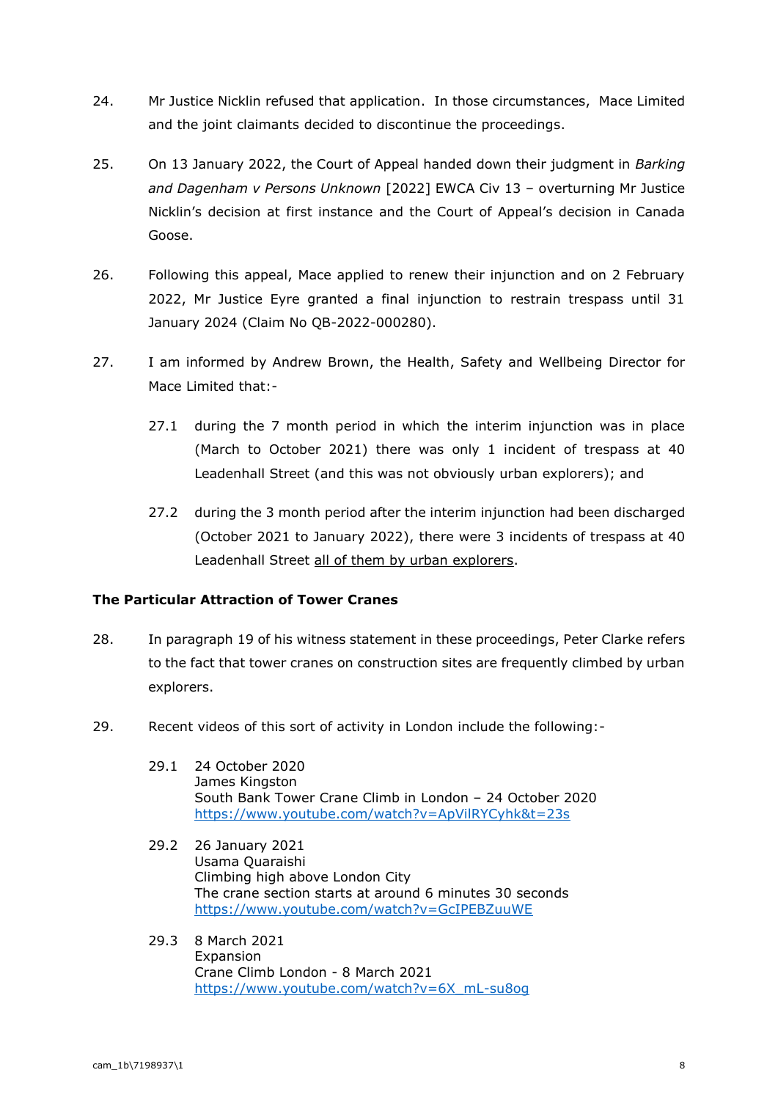- 24. Mr Justice Nicklin refused that application. In those circumstances, Mace Limited and the joint claimants decided to discontinue the proceedings.
- 25. On 13 January 2022, the Court of Appeal handed down their judgment in *Barking and Dagenham v Persons Unknown* [2022] EWCA Civ 13 – overturning Mr Justice Nicklin's decision at first instance and the Court of Appeal's decision in Canada Goose.
- 26. Following this appeal, Mace applied to renew their injunction and on 2 February 2022, Mr Justice Eyre granted a final injunction to restrain trespass until 31 January 2024 (Claim No QB-2022-000280).
- 27. I am informed by Andrew Brown, the Health, Safety and Wellbeing Director for Mace Limited that:-
	- 27.1 during the 7 month period in which the interim injunction was in place (March to October 2021) there was only 1 incident of trespass at 40 Leadenhall Street (and this was not obviously urban explorers); and
	- 27.2 during the 3 month period after the interim injunction had been discharged (October 2021 to January 2022), there were 3 incidents of trespass at 40 Leadenhall Street all of them by urban explorers.

## **The Particular Attraction of Tower Cranes**

- 28. In paragraph 19 of his witness statement in these proceedings, Peter Clarke refers to the fact that tower cranes on construction sites are frequently climbed by urban explorers.
- 29. Recent videos of this sort of activity in London include the following:-
	- 29.1 24 October 2020 James Kingston South Bank Tower Crane Climb in London – 24 October 2020 <https://www.youtube.com/watch?v=ApVilRYCyhk&t=23s>
	- 29.2 26 January 2021 Usama Quaraishi Climbing high above London City The crane section starts at around 6 minutes 30 seconds <https://www.youtube.com/watch?v=GcIPEBZuuWE>
	- 29.3 8 March 2021 Expansion Crane Climb London - 8 March 2021 [https://www.youtube.com/watch?v=6X\\_mL-su8og](https://www.youtube.com/watch?v=6X_mL-su8og)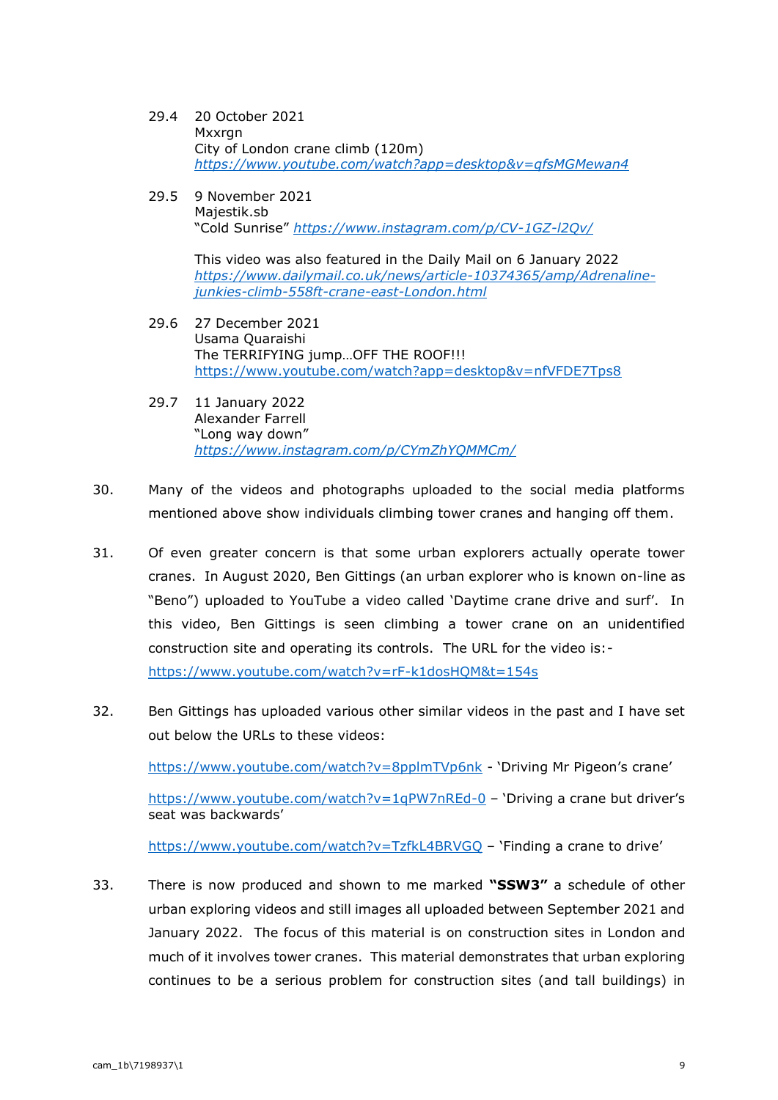- 29.4 20 October 2021 Mxxran City of London crane climb (120m) *<https://www.youtube.com/watch?app=desktop&v=qfsMGMewan4>*
- 29.5 9 November 2021 Majestik.sb "Cold Sunrise" *<https://www.instagram.com/p/CV-1GZ-l2Qv/>*

This video was also featured in the Daily Mail on 6 January 2022 *[https://www.dailymail.co.uk/news/article-10374365/amp/Adrenaline](https://www.dailymail.co.uk/news/article-10374365/amp/Adrenaline-junkies-climb-558ft-crane-east-London.html)[junkies-climb-558ft-crane-east-London.html](https://www.dailymail.co.uk/news/article-10374365/amp/Adrenaline-junkies-climb-558ft-crane-east-London.html)*

- 29.6 27 December 2021 Usama Quaraishi The TERRIFYING jump…OFF THE ROOF!!! <https://www.youtube.com/watch?app=desktop&v=nfVFDE7Tps8>
- 29.7 11 January 2022 Alexander Farrell "Long way down" *<https://www.instagram.com/p/CYmZhYQMMCm/>*
- 30. Many of the videos and photographs uploaded to the social media platforms mentioned above show individuals climbing tower cranes and hanging off them.
- 31. Of even greater concern is that some urban explorers actually operate tower cranes. In August 2020, Ben Gittings (an urban explorer who is known on-line as "Beno") uploaded to YouTube a video called 'Daytime crane drive and surf'. In this video, Ben Gittings is seen climbing a tower crane on an unidentified construction site and operating its controls. The URL for the video is: <https://www.youtube.com/watch?v=rF-k1dosHQM&t=154s>
- 32. Ben Gittings has uploaded various other similar videos in the past and I have set out below the URLs to these videos:

<https://www.youtube.com/watch?v=8pplmTVp6nk> - 'Driving Mr Pigeon's crane'

<https://www.youtube.com/watch?v=1qPW7nREd-0> – 'Driving a crane but driver's seat was backwards'

<https://www.youtube.com/watch?v=TzfkL4BRVGQ> – 'Finding a crane to drive'

33. There is now produced and shown to me marked **"SSW3"** a schedule of other urban exploring videos and still images all uploaded between September 2021 and January 2022. The focus of this material is on construction sites in London and much of it involves tower cranes. This material demonstrates that urban exploring continues to be a serious problem for construction sites (and tall buildings) in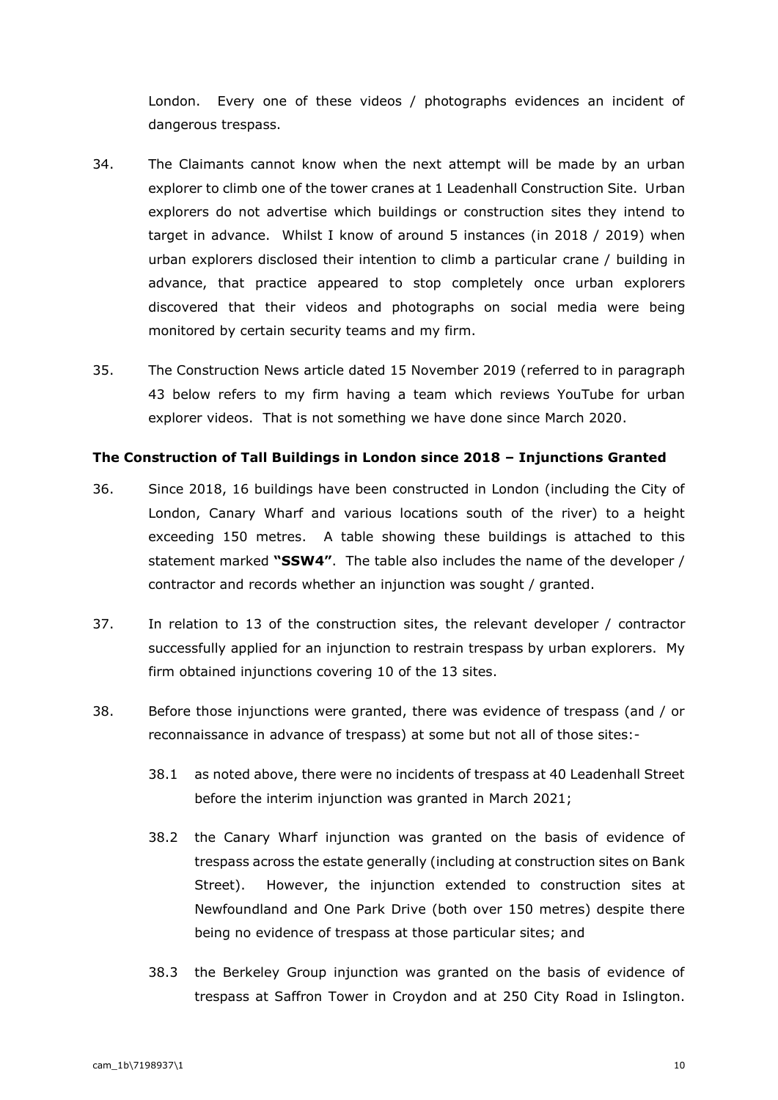London. Every one of these videos / photographs evidences an incident of dangerous trespass.

- 34. The Claimants cannot know when the next attempt will be made by an urban explorer to climb one of the tower cranes at 1 Leadenhall Construction Site. Urban explorers do not advertise which buildings or construction sites they intend to target in advance. Whilst I know of around 5 instances (in 2018 / 2019) when urban explorers disclosed their intention to climb a particular crane / building in advance, that practice appeared to stop completely once urban explorers discovered that their videos and photographs on social media were being monitored by certain security teams and my firm.
- 35. The Construction News article dated 15 November 2019 (referred to in paragraph 43 below refers to my firm having a team which reviews YouTube for urban explorer videos. That is not something we have done since March 2020.

### **The Construction of Tall Buildings in London since 2018 – Injunctions Granted**

- 36. Since 2018, 16 buildings have been constructed in London (including the City of London, Canary Wharf and various locations south of the river) to a height exceeding 150 metres. A table showing these buildings is attached to this statement marked **"SSW4"**. The table also includes the name of the developer / contractor and records whether an injunction was sought / granted.
- 37. In relation to 13 of the construction sites, the relevant developer / contractor successfully applied for an injunction to restrain trespass by urban explorers. My firm obtained injunctions covering 10 of the 13 sites.
- 38. Before those injunctions were granted, there was evidence of trespass (and / or reconnaissance in advance of trespass) at some but not all of those sites:-
	- 38.1 as noted above, there were no incidents of trespass at 40 Leadenhall Street before the interim injunction was granted in March 2021;
	- 38.2 the Canary Wharf injunction was granted on the basis of evidence of trespass across the estate generally (including at construction sites on Bank Street). However, the injunction extended to construction sites at Newfoundland and One Park Drive (both over 150 metres) despite there being no evidence of trespass at those particular sites; and
	- 38.3 the Berkeley Group injunction was granted on the basis of evidence of trespass at Saffron Tower in Croydon and at 250 City Road in Islington.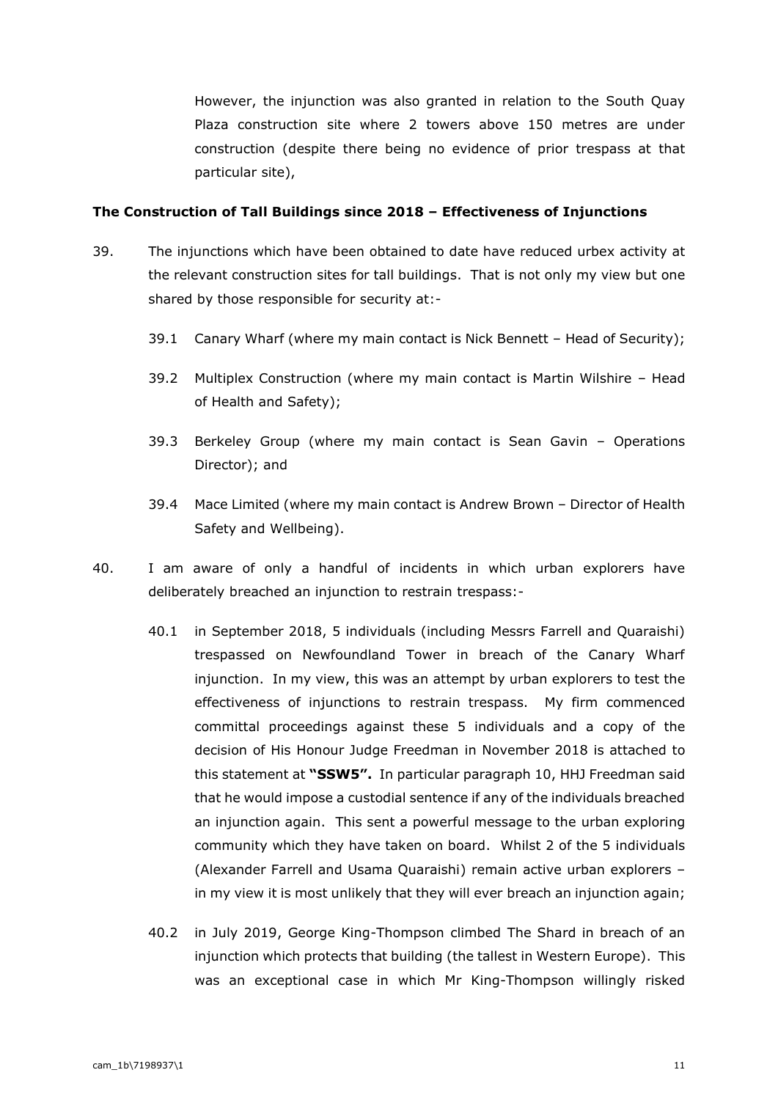However, the injunction was also granted in relation to the South Quay Plaza construction site where 2 towers above 150 metres are under construction (despite there being no evidence of prior trespass at that particular site),

#### **The Construction of Tall Buildings since 2018 – Effectiveness of Injunctions**

- 39. The injunctions which have been obtained to date have reduced urbex activity at the relevant construction sites for tall buildings. That is not only my view but one shared by those responsible for security at:-
	- 39.1 Canary Wharf (where my main contact is Nick Bennett Head of Security);
	- 39.2 Multiplex Construction (where my main contact is Martin Wilshire Head of Health and Safety);
	- 39.3 Berkeley Group (where my main contact is Sean Gavin Operations Director); and
	- 39.4 Mace Limited (where my main contact is Andrew Brown Director of Health Safety and Wellbeing).
- 40. I am aware of only a handful of incidents in which urban explorers have deliberately breached an injunction to restrain trespass:-
	- 40.1 in September 2018, 5 individuals (including Messrs Farrell and Quaraishi) trespassed on Newfoundland Tower in breach of the Canary Wharf injunction. In my view, this was an attempt by urban explorers to test the effectiveness of injunctions to restrain trespass. My firm commenced committal proceedings against these 5 individuals and a copy of the decision of His Honour Judge Freedman in November 2018 is attached to this statement at **"SSW5".** In particular paragraph 10, HHJ Freedman said that he would impose a custodial sentence if any of the individuals breached an injunction again. This sent a powerful message to the urban exploring community which they have taken on board. Whilst 2 of the 5 individuals (Alexander Farrell and Usama Quaraishi) remain active urban explorers – in my view it is most unlikely that they will ever breach an injunction again;
	- 40.2 in July 2019, George King-Thompson climbed The Shard in breach of an injunction which protects that building (the tallest in Western Europe). This was an exceptional case in which Mr King-Thompson willingly risked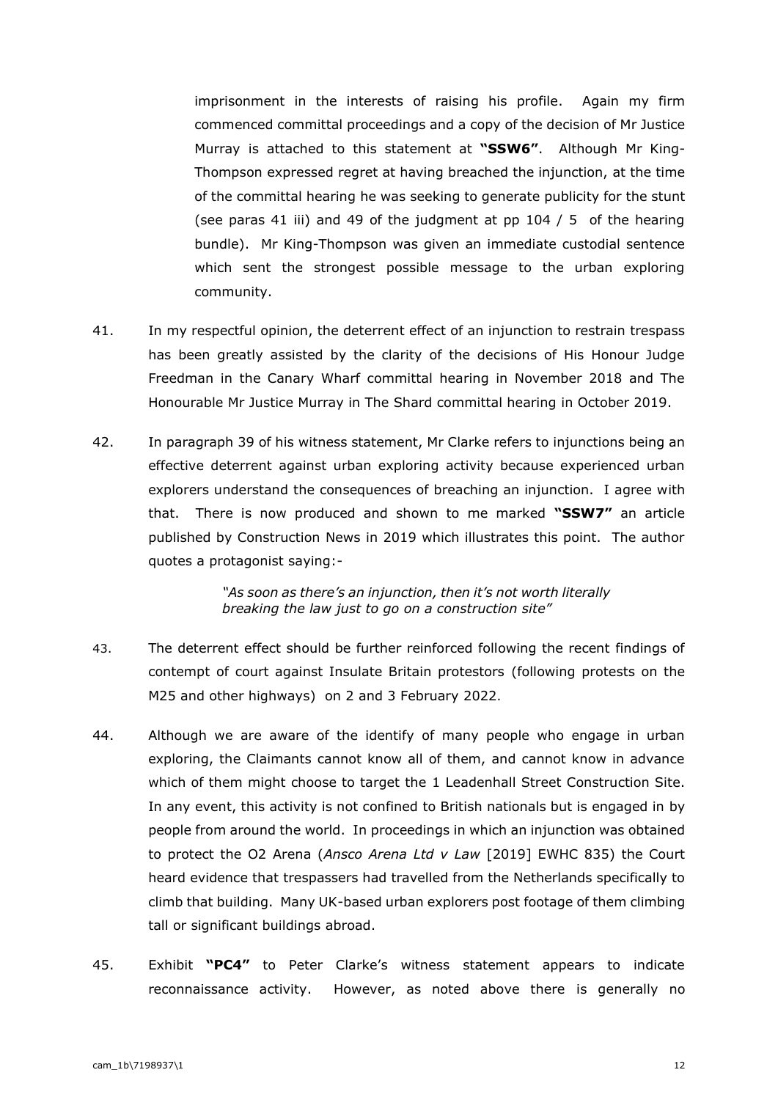imprisonment in the interests of raising his profile. Again my firm commenced committal proceedings and a copy of the decision of Mr Justice Murray is attached to this statement at **"SSW6"**. Although Mr King-Thompson expressed regret at having breached the injunction, at the time of the committal hearing he was seeking to generate publicity for the stunt (see paras 41 iii) and 49 of the judgment at pp 104 / 5 of the hearing bundle). Mr King-Thompson was given an immediate custodial sentence which sent the strongest possible message to the urban exploring community.

- 41. In my respectful opinion, the deterrent effect of an injunction to restrain trespass has been greatly assisted by the clarity of the decisions of His Honour Judge Freedman in the Canary Wharf committal hearing in November 2018 and The Honourable Mr Justice Murray in The Shard committal hearing in October 2019.
- 42. In paragraph 39 of his witness statement, Mr Clarke refers to injunctions being an effective deterrent against urban exploring activity because experienced urban explorers understand the consequences of breaching an injunction. I agree with that. There is now produced and shown to me marked **"SSW7"** an article published by Construction News in 2019 which illustrates this point. The author quotes a protagonist saying:-

*"As soon as there's an injunction, then it's not worth literally breaking the law just to go on a construction site"*

- 43. The deterrent effect should be further reinforced following the recent findings of contempt of court against Insulate Britain protestors (following protests on the M25 and other highways) on 2 and 3 February 2022.
- 44. Although we are aware of the identify of many people who engage in urban exploring, the Claimants cannot know all of them, and cannot know in advance which of them might choose to target the 1 Leadenhall Street Construction Site. In any event, this activity is not confined to British nationals but is engaged in by people from around the world. In proceedings in which an injunction was obtained to protect the O2 Arena (*Ansco Arena Ltd v Law* [2019] EWHC 835) the Court heard evidence that trespassers had travelled from the Netherlands specifically to climb that building. Many UK-based urban explorers post footage of them climbing tall or significant buildings abroad.
- 45. Exhibit **"PC4"** to Peter Clarke's witness statement appears to indicate reconnaissance activity. However, as noted above there is generally no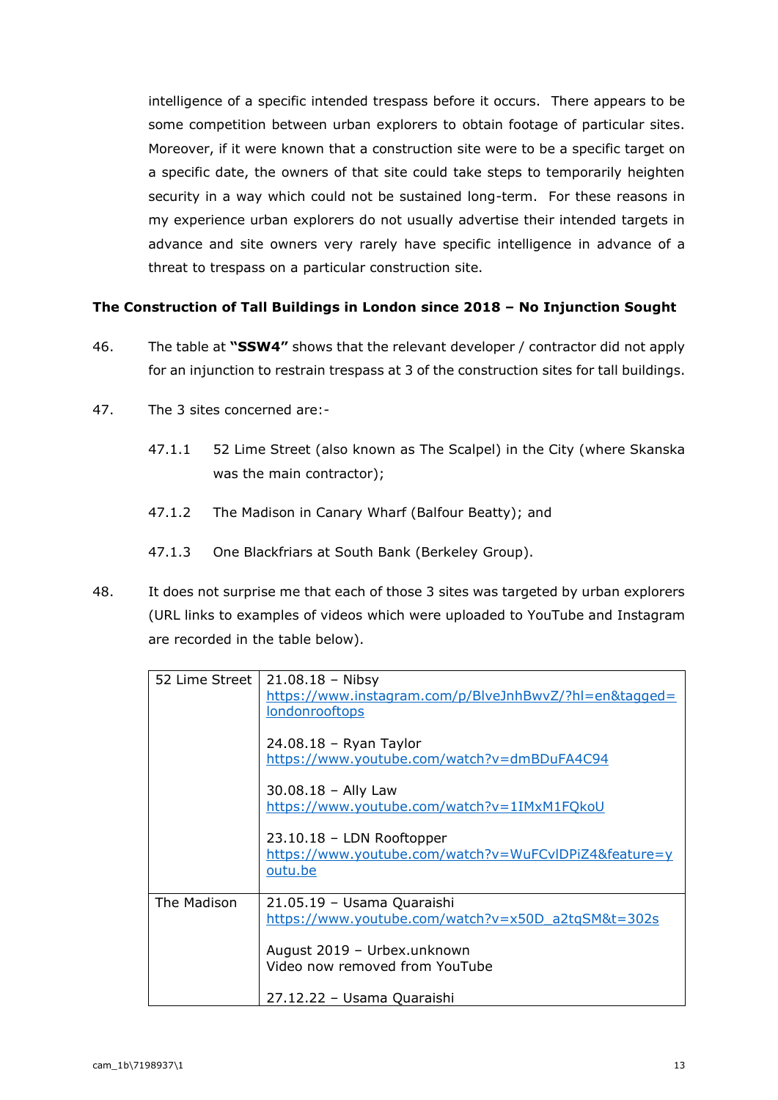intelligence of a specific intended trespass before it occurs. There appears to be some competition between urban explorers to obtain footage of particular sites. Moreover, if it were known that a construction site were to be a specific target on a specific date, the owners of that site could take steps to temporarily heighten security in a way which could not be sustained long-term. For these reasons in my experience urban explorers do not usually advertise their intended targets in advance and site owners very rarely have specific intelligence in advance of a threat to trespass on a particular construction site.

## **The Construction of Tall Buildings in London since 2018 – No Injunction Sought**

- 46. The table at **"SSW4"** shows that the relevant developer / contractor did not apply for an injunction to restrain trespass at 3 of the construction sites for tall buildings.
- 47. The 3 sites concerned are:-
	- 47.1.1 52 Lime Street (also known as The Scalpel) in the City (where Skanska was the main contractor);
	- 47.1.2 The Madison in Canary Wharf (Balfour Beatty); and
	- 47.1.3 One Blackfriars at South Bank (Berkeley Group).
- 48. It does not surprise me that each of those 3 sites was targeted by urban explorers (URL links to examples of videos which were uploaded to YouTube and Instagram are recorded in the table below).

| 52 Lime Street | $21.08.18 - Nibsy$<br>https://www.instagram.com/p/BlveJnhBwvZ/?hl=en&tagged=<br><b>londonrooftops</b> |
|----------------|-------------------------------------------------------------------------------------------------------|
|                | 24.08.18 - Ryan Taylor<br>https://www.youtube.com/watch?v=dmBDuFA4C94                                 |
|                | $30.08.18 -$ Ally Law<br>https://www.youtube.com/watch?v=1IMxM1FQkoU                                  |
|                | $23.10.18$ – LDN Rooftopper<br>https://www.youtube.com/watch?v=WuFCvIDPiZ4&feature=y<br>outu.be       |
| The Madison    | 21.05.19 - Usama Quaraishi<br>https://www.youtube.com/watch?v=x50D a2tqSM&t=302s                      |
|                | August 2019 - Urbex.unknown<br>Video now removed from YouTube                                         |
|                | 27.12.22 - Usama Quaraishi                                                                            |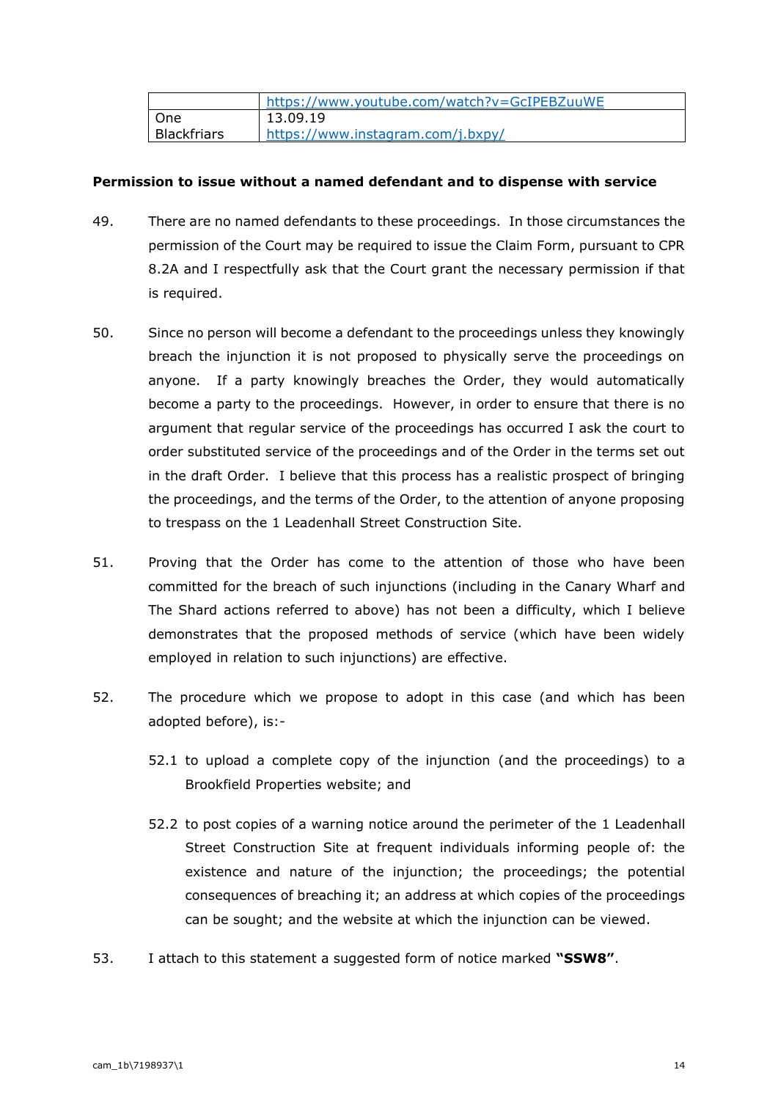|             | https://www.youtube.com/watch?v=GcIPEBZuuWE |
|-------------|---------------------------------------------|
| l One       | 13.09.19                                    |
| Blackfriars | https://www.instagram.com/j.bxpy/           |

### **Permission to issue without a named defendant and to dispense with service**

- 49. There are no named defendants to these proceedings. In those circumstances the permission of the Court may be required to issue the Claim Form, pursuant to CPR 8.2A and I respectfully ask that the Court grant the necessary permission if that is required.
- 50. Since no person will become a defendant to the proceedings unless they knowingly breach the injunction it is not proposed to physically serve the proceedings on anyone. If a party knowingly breaches the Order, they would automatically become a party to the proceedings. However, in order to ensure that there is no argument that regular service of the proceedings has occurred I ask the court to order substituted service of the proceedings and of the Order in the terms set out in the draft Order. I believe that this process has a realistic prospect of bringing the proceedings, and the terms of the Order, to the attention of anyone proposing to trespass on the 1 Leadenhall Street Construction Site.
- 51. Proving that the Order has come to the attention of those who have been committed for the breach of such injunctions (including in the Canary Wharf and The Shard actions referred to above) has not been a difficulty, which I believe demonstrates that the proposed methods of service (which have been widely employed in relation to such injunctions) are effective.
- 52. The procedure which we propose to adopt in this case (and which has been adopted before), is:-
	- 52.1 to upload a complete copy of the injunction (and the proceedings) to a Brookfield Properties website; and
	- 52.2 to post copies of a warning notice around the perimeter of the 1 Leadenhall Street Construction Site at frequent individuals informing people of: the existence and nature of the injunction; the proceedings; the potential consequences of breaching it; an address at which copies of the proceedings can be sought; and the website at which the injunction can be viewed.
- 53. I attach to this statement a suggested form of notice marked **"SSW8"**.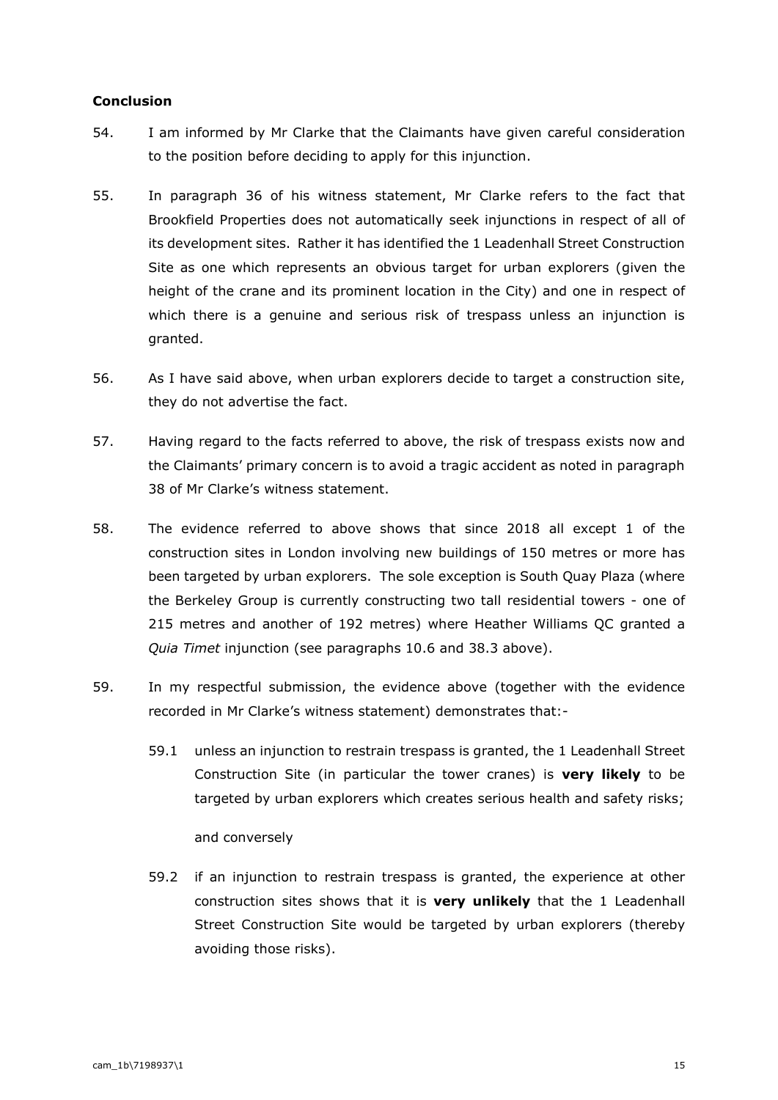### **Conclusion**

- 54. I am informed by Mr Clarke that the Claimants have given careful consideration to the position before deciding to apply for this injunction.
- 55. In paragraph 36 of his witness statement, Mr Clarke refers to the fact that Brookfield Properties does not automatically seek injunctions in respect of all of its development sites. Rather it has identified the 1 Leadenhall Street Construction Site as one which represents an obvious target for urban explorers (given the height of the crane and its prominent location in the City) and one in respect of which there is a genuine and serious risk of trespass unless an injunction is granted.
- 56. As I have said above, when urban explorers decide to target a construction site, they do not advertise the fact.
- 57. Having regard to the facts referred to above, the risk of trespass exists now and the Claimants' primary concern is to avoid a tragic accident as noted in paragraph 38 of Mr Clarke's witness statement.
- 58. The evidence referred to above shows that since 2018 all except 1 of the construction sites in London involving new buildings of 150 metres or more has been targeted by urban explorers. The sole exception is South Quay Plaza (where the Berkeley Group is currently constructing two tall residential towers - one of 215 metres and another of 192 metres) where Heather Williams QC granted a *Quia Timet* injunction (see paragraphs 10.6 and 38.3 above).
- 59. In my respectful submission, the evidence above (together with the evidence recorded in Mr Clarke's witness statement) demonstrates that:-
	- 59.1 unless an injunction to restrain trespass is granted, the 1 Leadenhall Street Construction Site (in particular the tower cranes) is **very likely** to be targeted by urban explorers which creates serious health and safety risks;

and conversely

59.2 if an injunction to restrain trespass is granted, the experience at other construction sites shows that it is **very unlikely** that the 1 Leadenhall Street Construction Site would be targeted by urban explorers (thereby avoiding those risks).